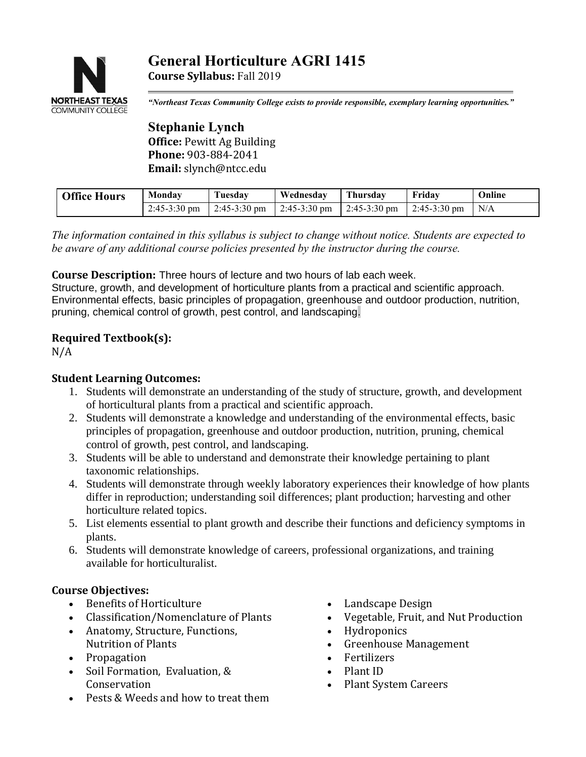# **General Horticulture AGRI 1415 Course Syllabus:** Fall 2019



*"Northeast Texas Community College exists to provide responsible, exemplary learning opportunities."*

**Stephanie Lynch Office:** Pewitt Ag Building **Phone:** 903-884-2041 **Email:** slynch@ntcc.edu

| <b>Office Hours</b> | Monday                 | Tuesdav      | Wednesdav              | Thursdav     | Fridav                 | Online |
|---------------------|------------------------|--------------|------------------------|--------------|------------------------|--------|
|                     | $2:45-3:30 \text{ pm}$ | 2:45-3:30 pm | $2:45-3:30 \text{ pm}$ | 2:45-3:30 pm | $2:45-3:30 \text{ pm}$ | N/A    |
|                     |                        |              |                        |              |                        |        |

*The information contained in this syllabus is subject to change without notice. Students are expected to be aware of any additional course policies presented by the instructor during the course.*

**Course Description:** Three hours of lecture and two hours of lab each week.

Structure, growth, and development of horticulture plants from a practical and scientific approach. Environmental effects, basic principles of propagation, greenhouse and outdoor production, nutrition, pruning, chemical control of growth, pest control, and landscaping.

# **Required Textbook(s):**

 $N/A$ 

# **Student Learning Outcomes:**

- 1. Students will demonstrate an understanding of the study of structure, growth, and development of horticultural plants from a practical and scientific approach.
- 2. Students will demonstrate a knowledge and understanding of the environmental effects, basic principles of propagation, greenhouse and outdoor production, nutrition, pruning, chemical control of growth, pest control, and landscaping.
- 3. Students will be able to understand and demonstrate their knowledge pertaining to plant taxonomic relationships.
- 4. Students will demonstrate through weekly laboratory experiences their knowledge of how plants differ in reproduction; understanding soil differences; plant production; harvesting and other horticulture related topics.
- 5. List elements essential to plant growth and describe their functions and deficiency symptoms in plants.
- 6. Students will demonstrate knowledge of careers, professional organizations, and training available for horticulturalist.

# **Course Objectives:**

- Benefits of Horticulture
- Classification/Nomenclature of Plants
- Anatomy, Structure, Functions, Nutrition of Plants
- Propagation
- Soil Formation, Evaluation, & **Conservation**
- Pests & Weeds and how to treat them
- Landscape Design
- Vegetable, Fruit, and Nut Production
- Hydroponics
- Greenhouse Management
- Fertilizers
- Plant ID
- Plant System Careers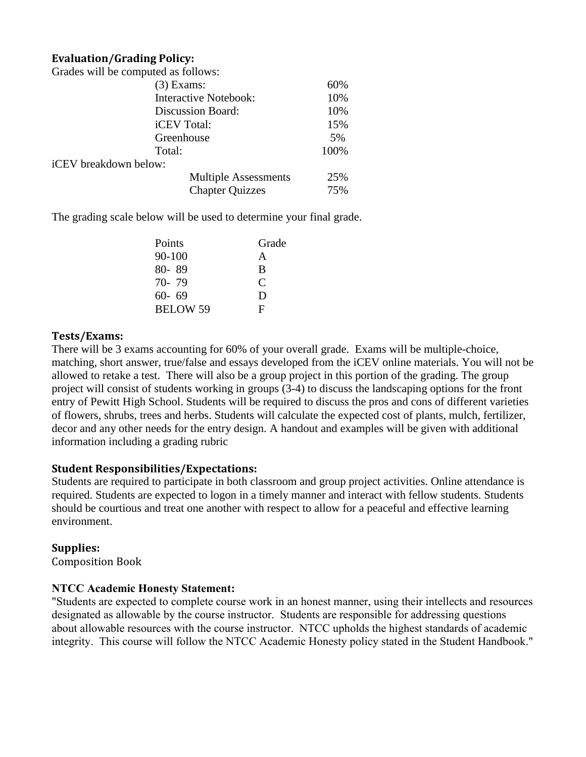### **Evaluation/Grading Policy:**

| Grades will be computed as follows: |                              |     |  |
|-------------------------------------|------------------------------|-----|--|
|                                     | $(3)$ Exams:                 |     |  |
|                                     | <b>Interactive Notebook:</b> |     |  |
|                                     | <b>Discussion Board:</b>     |     |  |
|                                     | <i>iCEV</i> Total:           |     |  |
|                                     | Greenhouse                   |     |  |
|                                     | Total:                       |     |  |
| iCEV breakdown below:               |                              |     |  |
|                                     | <b>Multiple Assessments</b>  | 25% |  |
|                                     | <b>Chapter Quizzes</b>       | 75% |  |

The grading scale below will be used to determine your final grade.

| Points          | Grade |  |
|-----------------|-------|--|
| 90-100          | A     |  |
| 80-89           | B     |  |
| 70-79           | C     |  |
| $60 - 69$       | Ð     |  |
| <b>BELOW 59</b> | F     |  |

#### **Tests/Exams:**

There will be 3 exams accounting for 60% of your overall grade. Exams will be multiple-choice, matching, short answer, true/false and essays developed from the iCEV online materials. You will not be allowed to retake a test. There will also be a group project in this portion of the grading. The group project will consist of students working in groups (3-4) to discuss the landscaping options for the front entry of Pewitt High School. Students will be required to discuss the pros and cons of different varieties of flowers, shrubs, trees and herbs. Students will calculate the expected cost of plants, mulch, fertilizer, decor and any other needs for the entry design. A handout and examples will be given with additional information including a grading rubric

#### **Student Responsibilities/Expectations:**

Students are required to participate in both classroom and group project activities. Online attendance is required. Students are expected to logon in a timely manner and interact with fellow students. Students should be courtious and treat one another with respect to allow for a peaceful and effective learning environment.

#### **Supplies:**

Composition Book

#### **NTCC Academic Honesty Statement:**

"Students are expected to complete course work in an honest manner, using their intellects and resources designated as allowable by the course instructor. Students are responsible for addressing questions about allowable resources with the course instructor. NTCC upholds the highest standards of academic integrity. This course will follow the NTCC Academic Honesty policy stated in the Student Handbook."